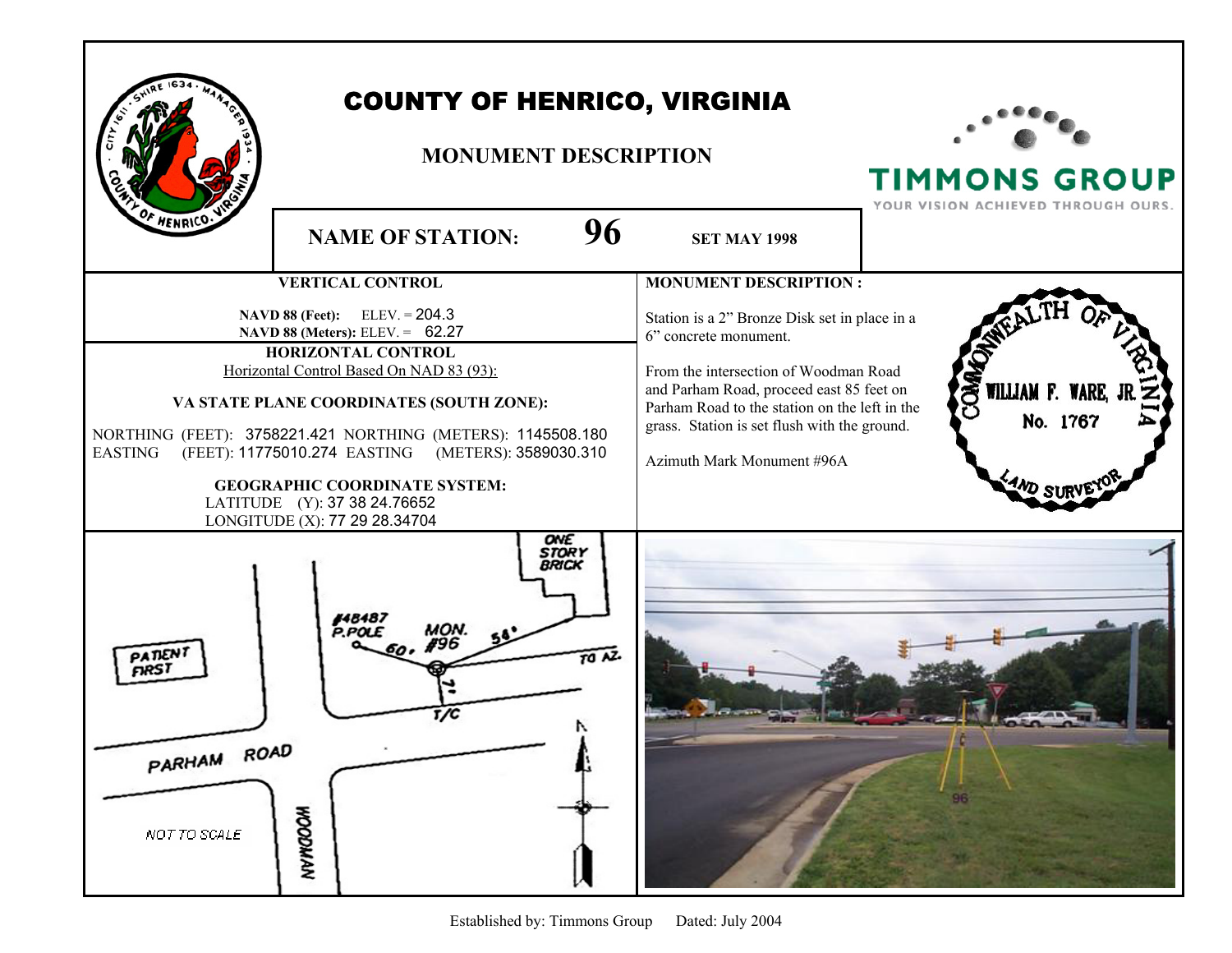|                                               | <b>COUNTY OF HENRICO, VIRGINIA</b><br><b>MONUMENT DESCRIPTION</b>                                                                                                                                                                                                                                                                                                                                                                                  |                                                                                                                                                                                                                                                                                                                            | <b>TIMMONS GROUP</b><br>YOUR VISION ACHIEVED THROUGH OURS. |
|-----------------------------------------------|----------------------------------------------------------------------------------------------------------------------------------------------------------------------------------------------------------------------------------------------------------------------------------------------------------------------------------------------------------------------------------------------------------------------------------------------------|----------------------------------------------------------------------------------------------------------------------------------------------------------------------------------------------------------------------------------------------------------------------------------------------------------------------------|------------------------------------------------------------|
| <b>F HENRICO.</b>                             | 96<br><b>NAME OF STATION:</b>                                                                                                                                                                                                                                                                                                                                                                                                                      | <b>SET MAY 1998</b>                                                                                                                                                                                                                                                                                                        |                                                            |
| EASTING                                       | <b>VERTICAL CONTROL</b><br>$ELEV = 204.3$<br><b>NAVD 88 (Feet):</b><br>NAVD 88 (Meters): ELEV. = 62.27<br>HORIZONTAL CONTROL<br>Horizontal Control Based On NAD 83 (93):<br>VA STATE PLANE COORDINATES (SOUTH ZONE):<br>NORTHING (FEET): 3758221.421 NORTHING (METERS): 1145508.180<br>(FEET): 11775010.274 EASTING (METERS): 3589030.310<br><b>GEOGRAPHIC COORDINATE SYSTEM:</b><br>LATITUDE (Y): 37 38 24.76652<br>LONGITUDE (X): 77 29 28.34704 | <b>MONUMENT DESCRIPTION:</b><br>Station is a 2" Bronze Disk set in place in a<br>6" concrete monument.<br>From the intersection of Woodman Road<br>and Parham Road, proceed east 85 feet on<br>Parham Road to the station on the left in the<br>grass. Station is set flush with the ground.<br>Azimuth Mark Monument #96A | COM<br>WILLIAM F. WARE, J<br>No. 1767<br>"AND SI           |
| PATIEN<br>กลรา<br>PARHAM ROAD<br>NOT TO SCALE | ONE<br><b>STORY</b><br>BRICK<br>148487<br>P.POLE<br>TO NZ.<br>t/C<br><b>NVWGOOM</b>                                                                                                                                                                                                                                                                                                                                                                |                                                                                                                                                                                                                                                                                                                            |                                                            |